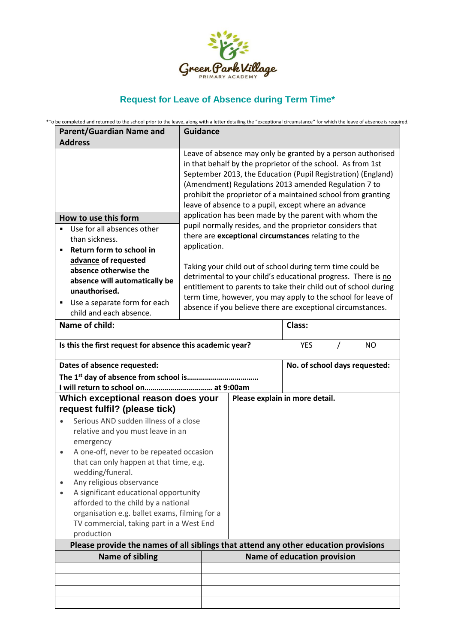

## **Request for Leave of Absence during Term Time\***

\*To be completed and returned to the school prior to the leave, along with a letter detailing the "exceptional circumstance" for which the leave of absence is required.

| <b>Parent/Guardian Name and</b>                                                                                                                        | <b>Guidance</b>                                                                                                             |                                                                                                                                                                                                                                                                                                                                                                                                                                                                                                                                                                                                                      |                             |  |                               |
|--------------------------------------------------------------------------------------------------------------------------------------------------------|-----------------------------------------------------------------------------------------------------------------------------|----------------------------------------------------------------------------------------------------------------------------------------------------------------------------------------------------------------------------------------------------------------------------------------------------------------------------------------------------------------------------------------------------------------------------------------------------------------------------------------------------------------------------------------------------------------------------------------------------------------------|-----------------------------|--|-------------------------------|
| <b>Address</b>                                                                                                                                         |                                                                                                                             |                                                                                                                                                                                                                                                                                                                                                                                                                                                                                                                                                                                                                      |                             |  |                               |
| How to use this form<br>Use for all absences other<br>than sickness.<br>Return form to school in<br>٠<br>advance of requested<br>absence otherwise the | application.                                                                                                                | Leave of absence may only be granted by a person authorised<br>in that behalf by the proprietor of the school. As from 1st<br>September 2013, the Education (Pupil Registration) (England)<br>(Amendment) Regulations 2013 amended Regulation 7 to<br>prohibit the proprietor of a maintained school from granting<br>leave of absence to a pupil, except where an advance<br>application has been made by the parent with whom the<br>pupil normally resides, and the proprietor considers that<br>there are exceptional circumstances relating to the<br>Taking your child out of school during term time could be |                             |  |                               |
| absence will automatically be                                                                                                                          | detrimental to your child's educational progress. There is no                                                               |                                                                                                                                                                                                                                                                                                                                                                                                                                                                                                                                                                                                                      |                             |  |                               |
| unauthorised.                                                                                                                                          |                                                                                                                             | entitlement to parents to take their child out of school during                                                                                                                                                                                                                                                                                                                                                                                                                                                                                                                                                      |                             |  |                               |
| Use a separate form for each<br>٠                                                                                                                      | term time, however, you may apply to the school for leave of<br>absence if you believe there are exceptional circumstances. |                                                                                                                                                                                                                                                                                                                                                                                                                                                                                                                                                                                                                      |                             |  |                               |
| child and each absence.                                                                                                                                |                                                                                                                             |                                                                                                                                                                                                                                                                                                                                                                                                                                                                                                                                                                                                                      |                             |  |                               |
| Name of child:                                                                                                                                         |                                                                                                                             | Class:                                                                                                                                                                                                                                                                                                                                                                                                                                                                                                                                                                                                               |                             |  |                               |
| Is this the first request for absence this academic year?<br><b>YES</b><br><b>NO</b><br>$\prime$                                                       |                                                                                                                             |                                                                                                                                                                                                                                                                                                                                                                                                                                                                                                                                                                                                                      |                             |  |                               |
| Dates of absence requested:                                                                                                                            |                                                                                                                             |                                                                                                                                                                                                                                                                                                                                                                                                                                                                                                                                                                                                                      |                             |  | No. of school days requested: |
| The 1 <sup>st</sup> day of absence from school is                                                                                                      |                                                                                                                             |                                                                                                                                                                                                                                                                                                                                                                                                                                                                                                                                                                                                                      |                             |  |                               |
|                                                                                                                                                        |                                                                                                                             |                                                                                                                                                                                                                                                                                                                                                                                                                                                                                                                                                                                                                      |                             |  |                               |
| Which exceptional reason does your<br>request fulfil? (please tick)                                                                                    |                                                                                                                             | Please explain in more detail.                                                                                                                                                                                                                                                                                                                                                                                                                                                                                                                                                                                       |                             |  |                               |
| Serious AND sudden illness of a close                                                                                                                  |                                                                                                                             |                                                                                                                                                                                                                                                                                                                                                                                                                                                                                                                                                                                                                      |                             |  |                               |
| relative and you must leave in an                                                                                                                      |                                                                                                                             |                                                                                                                                                                                                                                                                                                                                                                                                                                                                                                                                                                                                                      |                             |  |                               |
| emergency                                                                                                                                              |                                                                                                                             |                                                                                                                                                                                                                                                                                                                                                                                                                                                                                                                                                                                                                      |                             |  |                               |
| A one-off, never to be repeated occasion<br>$\bullet$                                                                                                  |                                                                                                                             |                                                                                                                                                                                                                                                                                                                                                                                                                                                                                                                                                                                                                      |                             |  |                               |
| that can only happen at that time, e.g.<br>wedding/funeral.                                                                                            |                                                                                                                             |                                                                                                                                                                                                                                                                                                                                                                                                                                                                                                                                                                                                                      |                             |  |                               |
| Any religious observance                                                                                                                               |                                                                                                                             |                                                                                                                                                                                                                                                                                                                                                                                                                                                                                                                                                                                                                      |                             |  |                               |
| A significant educational opportunity                                                                                                                  |                                                                                                                             |                                                                                                                                                                                                                                                                                                                                                                                                                                                                                                                                                                                                                      |                             |  |                               |
| afforded to the child by a national                                                                                                                    |                                                                                                                             |                                                                                                                                                                                                                                                                                                                                                                                                                                                                                                                                                                                                                      |                             |  |                               |
| organisation e.g. ballet exams, filming for a                                                                                                          |                                                                                                                             |                                                                                                                                                                                                                                                                                                                                                                                                                                                                                                                                                                                                                      |                             |  |                               |
| TV commercial, taking part in a West End<br>production                                                                                                 |                                                                                                                             |                                                                                                                                                                                                                                                                                                                                                                                                                                                                                                                                                                                                                      |                             |  |                               |
| Please provide the names of all siblings that attend any other education provisions                                                                    |                                                                                                                             |                                                                                                                                                                                                                                                                                                                                                                                                                                                                                                                                                                                                                      |                             |  |                               |
| <b>Name of sibling</b>                                                                                                                                 |                                                                                                                             |                                                                                                                                                                                                                                                                                                                                                                                                                                                                                                                                                                                                                      | Name of education provision |  |                               |
|                                                                                                                                                        |                                                                                                                             |                                                                                                                                                                                                                                                                                                                                                                                                                                                                                                                                                                                                                      |                             |  |                               |
|                                                                                                                                                        |                                                                                                                             |                                                                                                                                                                                                                                                                                                                                                                                                                                                                                                                                                                                                                      |                             |  |                               |
|                                                                                                                                                        |                                                                                                                             |                                                                                                                                                                                                                                                                                                                                                                                                                                                                                                                                                                                                                      |                             |  |                               |
|                                                                                                                                                        |                                                                                                                             |                                                                                                                                                                                                                                                                                                                                                                                                                                                                                                                                                                                                                      |                             |  |                               |